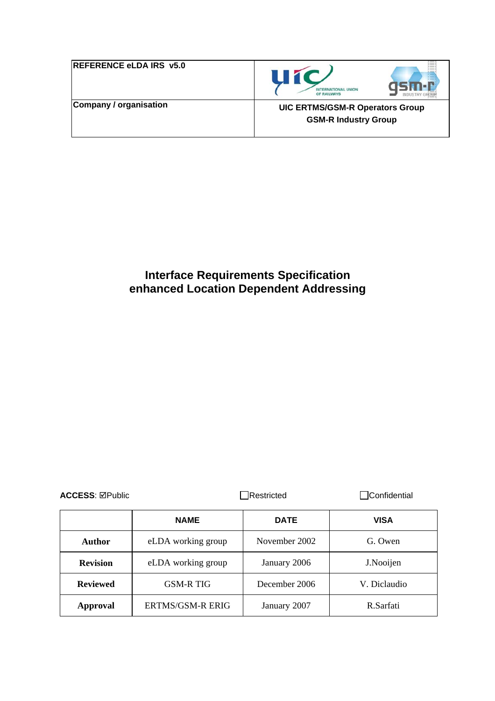| <b>REFERENCE eLDA IRS v5.0</b> |  |
|--------------------------------|--|
| Company / organisation         |  |





**UIC ERTMS/GSM-R Operators Group GSM-R Industry Group** 

# **Interface Requirements Specification enhanced Location Dependent Addressing**

| <b>ACCESS: ⊠Public</b> |                         | Restricted    |              |  |
|------------------------|-------------------------|---------------|--------------|--|
|                        | <b>NAME</b>             | <b>DATE</b>   | <b>VISA</b>  |  |
| Author                 | eLDA working group      | November 2002 | G. Owen      |  |
| <b>Revision</b>        | eLDA working group      | January 2006  | J.Nooijen    |  |
| <b>Reviewed</b>        | <b>GSM-R TIG</b>        | December 2006 | V. Diclaudio |  |
| Approval               | <b>ERTMS/GSM-R ERIG</b> | January 2007  | R Sarfati    |  |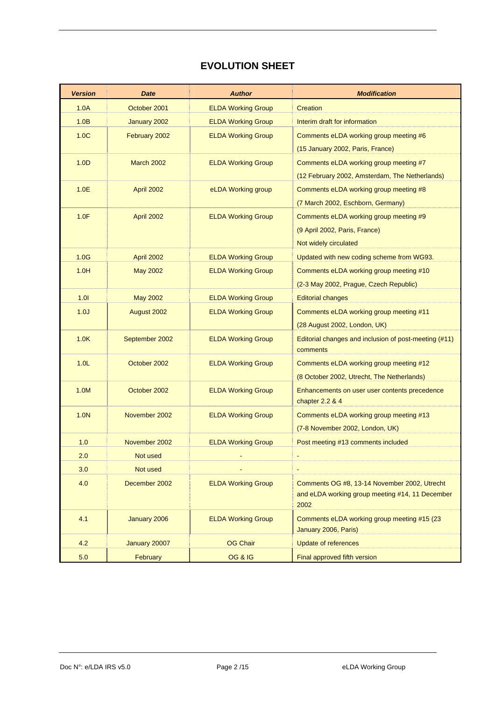### **EVOLUTION SHEET**

| <b>Version</b>   | <b>Date</b>       | <b>Author</b>             | <b>Modification</b>                                                  |
|------------------|-------------------|---------------------------|----------------------------------------------------------------------|
| 1.0A             | October 2001      | <b>ELDA Working Group</b> | Creation                                                             |
| 1.0B             | January 2002      | <b>ELDA Working Group</b> | Interim draft for information                                        |
| 1.0C             | February 2002     | <b>ELDA Working Group</b> | Comments eLDA working group meeting #6                               |
|                  |                   |                           | (15 January 2002, Paris, France)                                     |
| 1.0 <sub>D</sub> | <b>March 2002</b> | <b>ELDA Working Group</b> | Comments eLDA working group meeting #7                               |
|                  |                   |                           | (12 February 2002, Amsterdam, The Netherlands)                       |
| 1.0E             | April 2002        | eLDA Working group        | Comments eLDA working group meeting #8                               |
|                  |                   |                           | (7 March 2002, Eschborn, Germany)                                    |
| 1.0F             | <b>April 2002</b> | <b>ELDA Working Group</b> | Comments eLDA working group meeting #9                               |
|                  |                   |                           | (9 April 2002, Paris, France)                                        |
|                  |                   |                           | Not widely circulated                                                |
| 1.0G             | April 2002        | <b>ELDA Working Group</b> | Updated with new coding scheme from WG93.                            |
| 1.0H             | <b>May 2002</b>   | <b>ELDA Working Group</b> | Comments eLDA working group meeting #10                              |
|                  |                   |                           | (2-3 May 2002, Prague, Czech Republic)                               |
| 1.01             | <b>May 2002</b>   | <b>ELDA Working Group</b> | <b>Editorial changes</b>                                             |
| 1.0J             | August 2002       | <b>ELDA Working Group</b> | Comments eLDA working group meeting #11                              |
|                  |                   |                           | (28 August 2002, London, UK)                                         |
| 1.0K             | September 2002    | <b>ELDA Working Group</b> | Editorial changes and inclusion of post-meeting (#11)                |
|                  |                   |                           | comments                                                             |
| 1.0 <sub>L</sub> | October 2002      | <b>ELDA Working Group</b> | Comments eLDA working group meeting #12                              |
|                  |                   |                           | (8 October 2002, Utrecht, The Netherlands)                           |
| 1.0M             | October 2002      | <b>ELDA Working Group</b> | Enhancements on user user contents precedence<br>chapter $2.2$ & $4$ |
| 1.0N             | November 2002     | <b>ELDA Working Group</b> | Comments eLDA working group meeting #13                              |
|                  |                   |                           | (7-8 November 2002, London, UK)                                      |
| 1.0              | November 2002     | <b>ELDA Working Group</b> | Post meeting #13 comments included                                   |
| 2.0              | Not used          |                           |                                                                      |
| 3.0              | Not used          |                           | $\blacksquare$                                                       |
| 4.0              | December 2002     | <b>ELDA Working Group</b> | Comments OG #8, 13-14 November 2002, Utrecht                         |
|                  |                   |                           | and eLDA working group meeting #14, 11 December<br>2002              |
| 4.1              | January 2006      | <b>ELDA Working Group</b> | Comments eLDA working group meeting #15 (23                          |
|                  |                   |                           | January 2006, Paris)                                                 |
| 4.2              | January 20007     | <b>OG Chair</b>           | <b>Update of references</b>                                          |
| 5.0              | February          | <b>OG &amp; IG</b>        | Final approved fifth version                                         |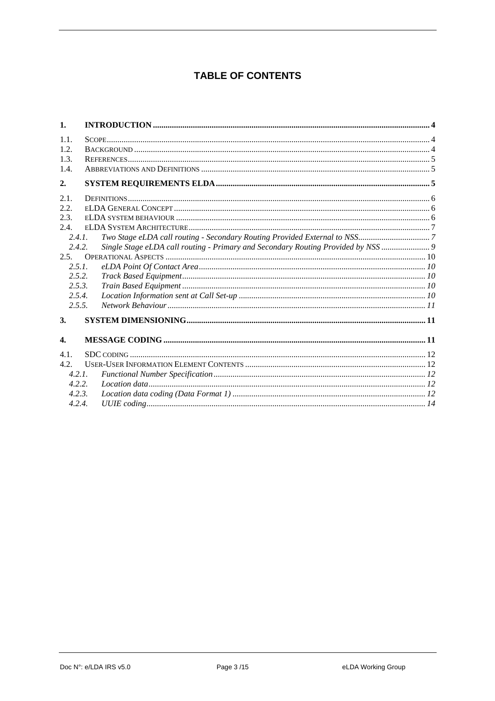### **TABLE OF CONTENTS**

| 1.               |                                                                                   |  |
|------------------|-----------------------------------------------------------------------------------|--|
| 1.1.             |                                                                                   |  |
| 1.2.             |                                                                                   |  |
| 1.3.             |                                                                                   |  |
| 1.4.             |                                                                                   |  |
| 2.               |                                                                                   |  |
| 2.1.             |                                                                                   |  |
| 2.2.             |                                                                                   |  |
| 2.3.             |                                                                                   |  |
| 2.4.             |                                                                                   |  |
| 2.4.1.           |                                                                                   |  |
| 2.4.2.           | Single Stage eLDA call routing - Primary and Secondary Routing Provided by NSS  9 |  |
| 2.5.             |                                                                                   |  |
| 2.5.1.           |                                                                                   |  |
| 2.5.2.           |                                                                                   |  |
| 2.5.3.           |                                                                                   |  |
| 2.5.4.           |                                                                                   |  |
| 2.5.5.           |                                                                                   |  |
| 3.               |                                                                                   |  |
|                  |                                                                                   |  |
| $\overline{4}$ . |                                                                                   |  |
| 4.1.             |                                                                                   |  |
| 4.2.             |                                                                                   |  |
| 4.2.1            |                                                                                   |  |
| 4.2.2.           |                                                                                   |  |
| 4.2.3.           |                                                                                   |  |
| 4.2.4.           |                                                                                   |  |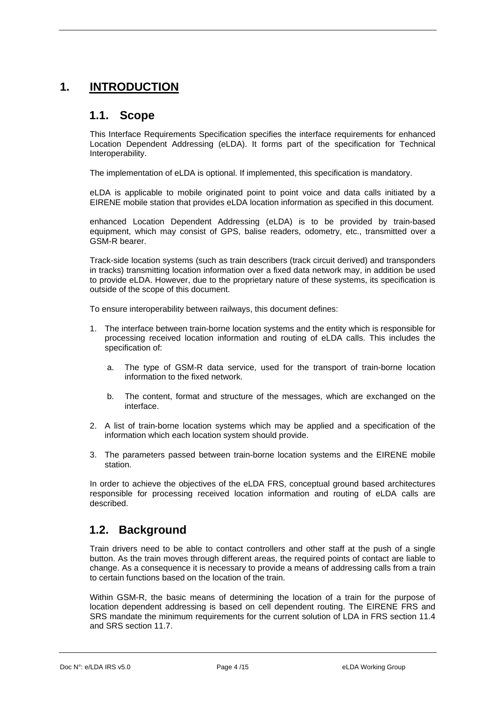# <span id="page-3-0"></span>**1. INTRODUCTION**

### **1.1. Scope**

This Interface Requirements Specification specifies the interface requirements for enhanced Location Dependent Addressing (eLDA). It forms part of the specification for Technical Interoperability.

The implementation of eLDA is optional. If implemented, this specification is mandatory.

eLDA is applicable to mobile originated point to point voice and data calls initiated by a EIRENE mobile station that provides eLDA location information as specified in this document.

enhanced Location Dependent Addressing (eLDA) is to be provided by train-based equipment, which may consist of GPS, balise readers, odometry, etc., transmitted over a GSM-R bearer.

Track-side location systems (such as train describers (track circuit derived) and transponders in tracks) transmitting location information over a fixed data network may, in addition be used to provide eLDA. However, due to the proprietary nature of these systems, its specification is outside of the scope of this document.

To ensure interoperability between railways, this document defines:

- 1. The interface between train-borne location systems and the entity which is responsible for processing received location information and routing of eLDA calls. This includes the specification of:
	- a. The type of GSM-R data service, used for the transport of train-borne location information to the fixed network.
	- b. The content, format and structure of the messages, which are exchanged on the interface.
- 2. A list of train-borne location systems which may be applied and a specification of the information which each location system should provide.
- 3. The parameters passed between train-borne location systems and the EIRENE mobile station.

In order to achieve the objectives of the eLDA FRS, conceptual ground based architectures responsible for processing received location information and routing of eLDA calls are described.

### **1.2. Background**

Train drivers need to be able to contact controllers and other staff at the push of a single button. As the train moves through different areas, the required points of contact are liable to change. As a consequence it is necessary to provide a means of addressing calls from a train to certain functions based on the location of the train.

Within GSM-R, the basic means of determining the location of a train for the purpose of location dependent addressing is based on cell dependent routing. The EIRENE FRS and SRS mandate the minimum requirements for the current solution of LDA in FRS section 11.4 and SRS section 11.7.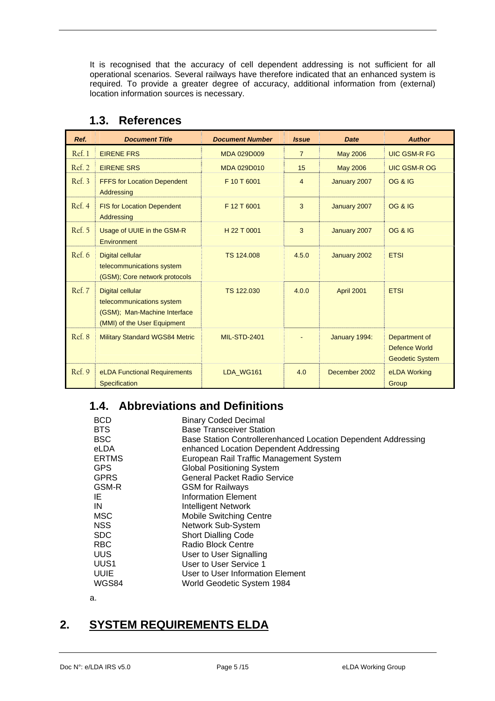<span id="page-4-0"></span>It is recognised that the accuracy of cell dependent addressing is not sufficient for all operational scenarios. Several railways have therefore indicated that an enhanced system is required. To provide a greater degree of accuracy, additional information from (external) location information sources is necessary.

<span id="page-4-4"></span><span id="page-4-3"></span><span id="page-4-2"></span><span id="page-4-1"></span>

| Ref.   | <b>Document Title</b>                                                                                               | <b>Document Number</b> | <b>Issue</b>   | <b>Date</b>     | <b>Author</b>                                            |
|--------|---------------------------------------------------------------------------------------------------------------------|------------------------|----------------|-----------------|----------------------------------------------------------|
| Ref. 1 | <b>EIRENE FRS</b>                                                                                                   | <b>MDA 029D009</b>     | $\overline{7}$ | <b>May 2006</b> | <b>UIC GSM-R FG</b>                                      |
| Ref. 2 | <b>EIRENE SRS</b>                                                                                                   | <b>MDA 029D010</b>     | 15             | <b>May 2006</b> | <b>UIC GSM-R OG</b>                                      |
| Ref. 3 | <b>FFFS for Location Dependent</b><br>Addressing                                                                    | F 10 T 6001            | $\overline{4}$ | January 2007    | <b>OG &amp; IG</b>                                       |
| Ref. 4 | <b>FIS for Location Dependent</b><br>Addressing                                                                     | F 12 T 6001            | 3              | January 2007    | <b>OG &amp; IG</b>                                       |
| Ref. 5 | Usage of UUIE in the GSM-R<br>Environment                                                                           | H 22 T 0001            | 3              | January 2007    | <b>OG &amp; IG</b>                                       |
| Ref. 6 | <b>Digital cellular</b><br>telecommunications system<br>(GSM); Core network protocols                               | TS 124,008             | 4.5.0          | January 2002    | <b>ETSI</b>                                              |
| Ref. 7 | <b>Digital cellular</b><br>telecommunications system<br>(GSM); Man-Machine Interface<br>(MMI) of the User Equipment | TS 122,030             | 4.0.0          | April 2001      | <b>ETSI</b>                                              |
| Ref. 8 | <b>Military Standard WGS84 Metric</b>                                                                               | <b>MIL-STD-2401</b>    |                | January 1994:   | Department of<br>Defence World<br><b>Geodetic System</b> |
| Ref. 9 | eLDA Functional Requirements<br><b>Specification</b>                                                                | LDA WG161              | 4.0            | December 2002   | eLDA Working<br>Group                                    |

### **1.3. References**

# <span id="page-4-5"></span>**1.4. Abbreviations and Definitions**

| <b>BCD</b>   | <b>Binary Coded Decimal</b>                                   |
|--------------|---------------------------------------------------------------|
| <b>BTS</b>   | <b>Base Transceiver Station</b>                               |
| <b>BSC</b>   | Base Station Controllerenhanced Location Dependent Addressing |
| eLDA         | enhanced Location Dependent Addressing                        |
| <b>ERTMS</b> | European Rail Traffic Management System                       |
| <b>GPS</b>   | <b>Global Positioning System</b>                              |
| <b>GPRS</b>  | General Packet Radio Service                                  |
| GSM-R        | <b>GSM</b> for Railways                                       |
| IE           | Information Element                                           |
| IN           | <b>Intelligent Network</b>                                    |
| <b>MSC</b>   | <b>Mobile Switching Centre</b>                                |
| NSS.         | Network Sub-System                                            |
| <b>SDC</b>   | <b>Short Dialling Code</b>                                    |
| <b>RBC</b>   | Radio Block Centre                                            |
| <b>UUS</b>   | User to User Signalling                                       |
| UUS1         | User to User Service 1                                        |
| <b>UUIE</b>  | User to User Information Element                              |
| WGS84        | World Geodetic System 1984                                    |
| a.           |                                                               |

# **2. SYSTEM REQUIREMENTS ELDA**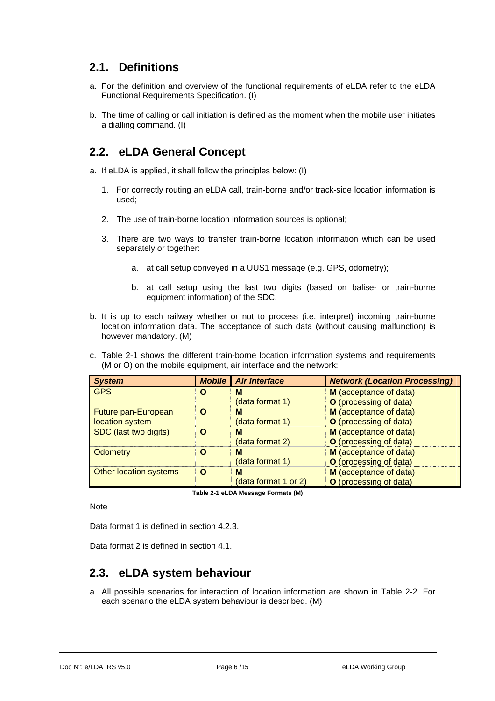### <span id="page-5-0"></span>**2.1. Definitions**

- a. For the definition and overview of the functional requirements of eLDA refer to the eLDA Functional Requirements Specification. (I)
- b. The time of calling or call initiation is defined as the moment when the mobile user initiates a dialling command. (I)

### **2.2. eLDA General Concept**

a. If eLDA is applied, it shall follow the principles below: (I)

- 1. For correctly routing an eLDA call, train-borne and/or track-side location information is used;
- 2. The use of train-borne location information sources is optional;
- 3. There are two ways to transfer train-borne location information which can be used separately or together:
	- a. at call setup conveyed in a UUS1 message (e.g. GPS, odometry);
	- b. at call setup using the last two digits (based on balise- or train-borne equipment information) of the SDC.
- b. It is up to each railway whether or not to process (i.e. interpret) incoming train-borne location information data. The acceptance of such data (without causing malfunction) is however mandatory. (M)
- c. [Table 2-1](#page-5-1) shows the different train-borne location information systems and requirements (M or O) on the mobile equipment, air interface and the network:

| <b>System</b>          | <b>Mobile</b> | <b>Air Interface</b> | <b>Network (Location Processing)</b> |
|------------------------|---------------|----------------------|--------------------------------------|
| <b>GPS</b>             |               | М                    | M (acceptance of data)               |
|                        |               | (data format 1)      | O (processing of data)               |
| Future pan-European    |               | м                    | M (acceptance of data)               |
| location system        |               | (data format 1)      | O (processing of data)               |
| SDC (last two digits)  |               | м                    | M (acceptance of data)               |
|                        |               | (data format 2)      | O (processing of data)               |
| Odometry               | О             | М                    | M (acceptance of data)               |
|                        |               | (data format 1)      | O (processing of data)               |
| Other location systems |               | м                    | M (acceptance of data)               |
|                        |               | (data format 1 or 2) | O (processing of data)               |

**Table 2-1 eLDA Message Formats (M)** 

<span id="page-5-1"></span>Note

Data format 1 is defined in section [4.2.3](#page-11-1).

Data format 2 is defined in section [4.1](#page-11-2).

### **2.3. eLDA system behaviour**

a. All possible scenarios for interaction of location information are shown in [Table 2-2.](#page-6-1) For each scenario the eLDA system behaviour is described. (M)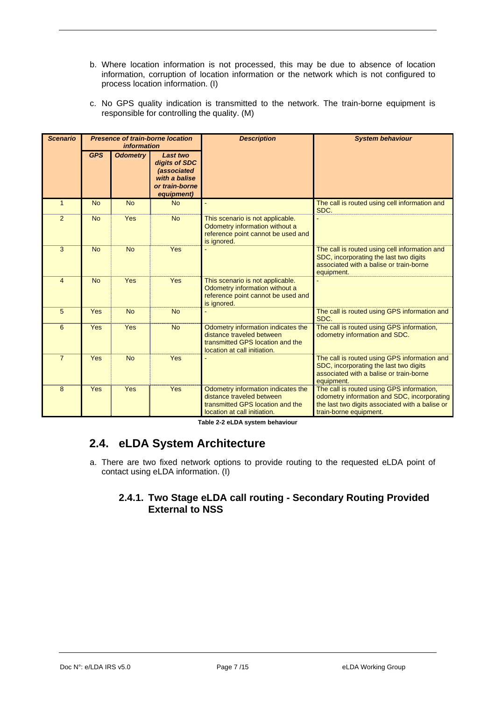- <span id="page-6-0"></span>b. Where location information is not processed, this may be due to absence of location information, corruption of location information or the network which is not configured to process location information. (I)
- c. No GPS quality indication is transmitted to the network. The train-borne equipment is responsible for controlling the quality. (M)

| <b>Scenario</b> |            | <i>information</i> | <b>Presence of train-borne location</b>                                                   | <b>Description</b>                                                                                                                  | <b>System behaviour</b>                                                                                                                                               |
|-----------------|------------|--------------------|-------------------------------------------------------------------------------------------|-------------------------------------------------------------------------------------------------------------------------------------|-----------------------------------------------------------------------------------------------------------------------------------------------------------------------|
|                 | <b>GPS</b> | <b>Odometry</b>    | Last two<br>digits of SDC<br>(associated<br>with a balise<br>or train-borne<br>equipment) |                                                                                                                                     |                                                                                                                                                                       |
| $\mathbf{1}$    | <b>No</b>  | <b>No</b>          | <b>No</b>                                                                                 |                                                                                                                                     | The call is routed using cell information and<br>SDC.                                                                                                                 |
| 2               | <b>No</b>  | Yes                | <b>No</b>                                                                                 | This scenario is not applicable.<br>Odometry information without a<br>reference point cannot be used and<br>is ignored.             |                                                                                                                                                                       |
| 3               | <b>No</b>  | <b>No</b>          | Yes                                                                                       |                                                                                                                                     | The call is routed using cell information and<br>SDC, incorporating the last two digits<br>associated with a balise or train-borne<br>equipment.                      |
| $\overline{4}$  | <b>No</b>  | Yes                | Yes                                                                                       | This scenario is not applicable.<br>Odometry information without a<br>reference point cannot be used and<br>is ignored.             |                                                                                                                                                                       |
| 5               | Yes        | <b>No</b>          | <b>No</b>                                                                                 |                                                                                                                                     | The call is routed using GPS information and<br>SDC.                                                                                                                  |
| 6               | <b>Yes</b> | Yes                | <b>No</b>                                                                                 | Odometry information indicates the<br>distance traveled between<br>transmitted GPS location and the<br>location at call initiation. | The call is routed using GPS information,<br>odometry information and SDC.                                                                                            |
| $\overline{7}$  | <b>Yes</b> | <b>No</b>          | Yes                                                                                       |                                                                                                                                     | The call is routed using GPS information and<br>SDC, incorporating the last two digits<br>associated with a balise or train-borne<br>equipment.                       |
| 8               | Yes        | Yes                | Yes                                                                                       | Odometry information indicates the<br>distance traveled between<br>transmitted GPS location and the<br>location at call initiation. | The call is routed using GPS information,<br>odometry information and SDC, incorporating<br>the last two digits associated with a balise or<br>train-borne equipment. |

**Table 2-2 eLDA system behaviour** 

# <span id="page-6-1"></span>**2.4. eLDA System Architecture**

a. There are two fixed network options to provide routing to the requested eLDA point of contact using eLDA information. (I)

### **2.4.1. Two Stage eLDA call routing - Secondary Routing Provided External to NSS**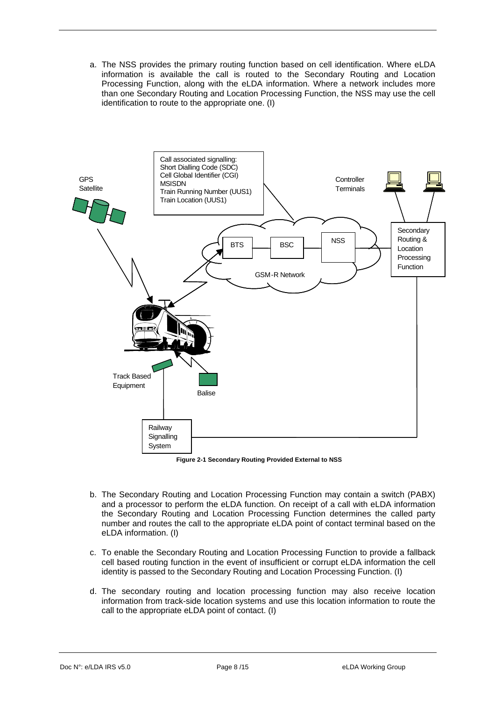a. The NSS provides the primary routing function based on cell identification. Where eLDA information is available the call is routed to the Secondary Routing and Location Processing Function, along with the eLDA information. Where a network includes more than one Secondary Routing and Location Processing Function, the NSS may use the cell identification to route to the appropriate one. (I)



**Figure 2-1 Secondary Routing Provided External to NSS** 

- b. The Secondary Routing and Location Processing Function may contain a switch (PABX) and a processor to perform the eLDA function. On receipt of a call with eLDA information the Secondary Routing and Location Processing Function determines the called party number and routes the call to the appropriate eLDA point of contact terminal based on the eLDA information. (I)
- c. To enable the Secondary Routing and Location Processing Function to provide a fallback cell based routing function in the event of insufficient or corrupt eLDA information the cell identity is passed to the Secondary Routing and Location Processing Function. (I)
- d. The secondary routing and location processing function may also receive location information from track-side location systems and use this location information to route the call to the appropriate eLDA point of contact. (I)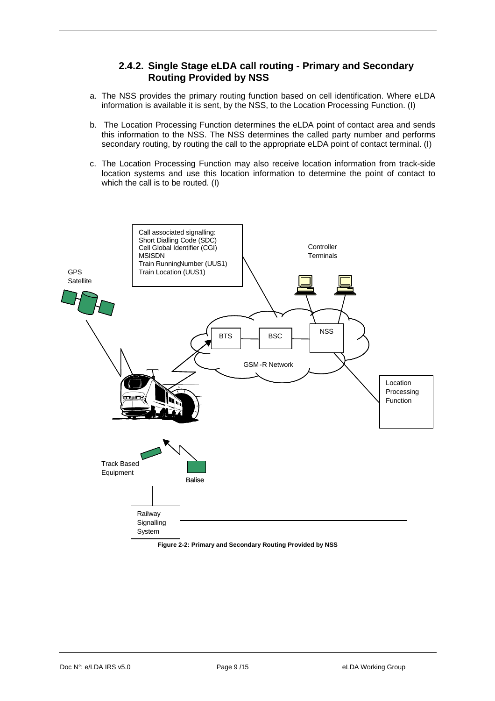#### **2.4.2. Single Stage eLDA call routing - Primary and Secondary Routing Provided by NSS**

- <span id="page-8-0"></span>a. The NSS provides the primary routing function based on cell identification. Where eLDA information is available it is sent, by the NSS, to the Location Processing Function. (I)
- b. The Location Processing Function determines the eLDA point of contact area and sends this information to the NSS. The NSS determines the called party number and performs secondary routing, by routing the call to the appropriate eLDA point of contact terminal. (I)
- c. The Location Processing Function may also receive location information from track-side location systems and use this location information to determine the point of contact to which the call is to be routed. (I)



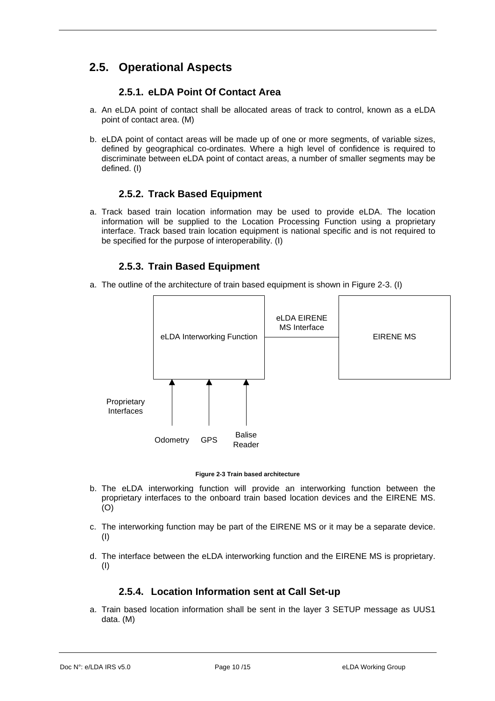# <span id="page-9-0"></span>**2.5. Operational Aspects**

### **2.5.1. eLDA Point Of Contact Area**

- a. An eLDA point of contact shall be allocated areas of track to control, known as a eLDA point of contact area. (M)
- b. eLDA point of contact areas will be made up of one or more segments, of variable sizes, defined by geographical co-ordinates. Where a high level of confidence is required to discriminate between eLDA point of contact areas, a number of smaller segments may be defined. (I)

#### **2.5.2. Track Based Equipment**

a. Track based train location information may be used to provide eLDA. The location information will be supplied to the Location Processing Function using a proprietary interface. Track based train location equipment is national specific and is not required to be specified for the purpose of interoperability. (I)

#### **2.5.3. Train Based Equipment**

a. The outline of the architecture of train based equipment is shown in Figure 2-3. (I)



#### **Figure 2-3 Train based architecture**

- b. The eLDA interworking function will provide an interworking function between the proprietary interfaces to the onboard train based location devices and the EIRENE MS. (O)
- c. The interworking function may be part of the EIRENE MS or it may be a separate device. (I)
- d. The interface between the eLDA interworking function and the EIRENE MS is proprietary. (I)

#### **2.5.4. Location Information sent at Call Set-up**

a. Train based location information shall be sent in the layer 3 SETUP message as UUS1 data. (M)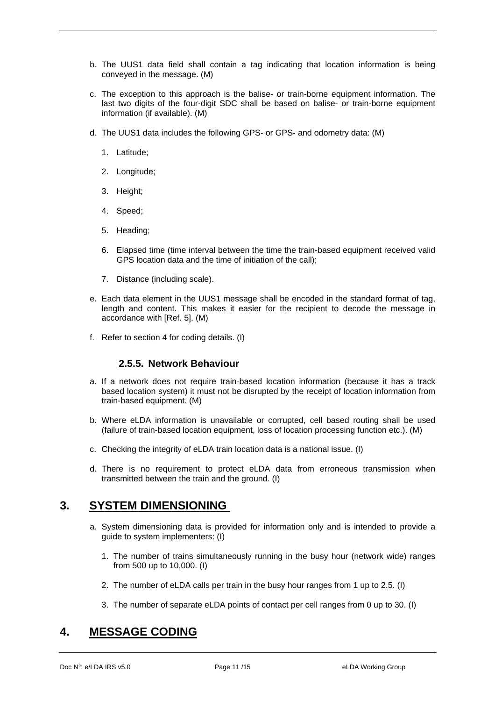- <span id="page-10-0"></span>b. The UUS1 data field shall contain a tag indicating that location information is being conveyed in the message. (M)
- c. The exception to this approach is the balise- or train-borne equipment information. The last two digits of the four-digit SDC shall be based on balise- or train-borne equipment information (if available). (M)
- d. The UUS1 data includes the following GPS- or GPS- and odometry data: (M)
	- 1. Latitude;
	- 2. Longitude;
	- 3. Height;
	- 4. Speed;
	- 5. Heading;
	- 6. Elapsed time (time interval between the time the train-based equipment received valid GPS location data and the time of initiation of the call);
	- 7. Distance (including scale).
- e. Each data element in the UUS1 message shall be encoded in the standard format of tag, length and content. This makes it easier for the recipient to decode the message in accordance with [\[Ref. 5\]](#page-4-1). (M)
- f. Refer to section 4 for coding details. (I)

#### **2.5.5. Network Behaviour**

- a. If a network does not require train-based location information (because it has a track based location system) it must not be disrupted by the receipt of location information from train-based equipment. (M)
- b. Where eLDA information is unavailable or corrupted, cell based routing shall be used (failure of train-based location equipment, loss of location processing function etc.). (M)
- c. Checking the integrity of eLDA train location data is a national issue. (I)
- d. There is no requirement to protect eLDA data from erroneous transmission when transmitted between the train and the ground. (I)

### **3. SYSTEM DIMENSIONING**

- a. System dimensioning data is provided for information only and is intended to provide a guide to system implementers: (I)
	- 1. The number of trains simultaneously running in the busy hour (network wide) ranges from 500 up to 10,000. (I)
	- 2. The number of eLDA calls per train in the busy hour ranges from 1 up to 2.5. (I)
	- 3. The number of separate eLDA points of contact per cell ranges from 0 up to 30. (I)

# **4. MESSAGE CODING**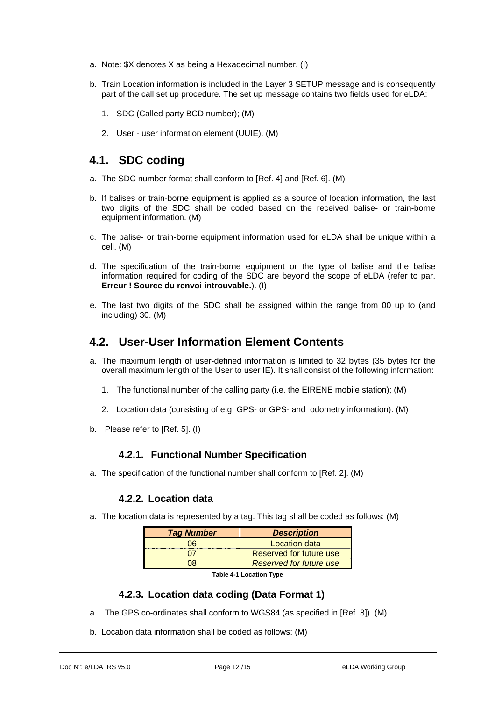- <span id="page-11-0"></span>a. Note: \$X denotes X as being a Hexadecimal number. (I)
- b. Train Location information is included in the Layer 3 SETUP message and is consequently part of the call set up procedure. The set up message contains two fields used for eLDA:
	- 1. SDC (Called party BCD number); (M)
	- 2. User user information element (UUIE). (M)

### <span id="page-11-2"></span>**4.1. SDC coding**

- a. The SDC number format shall conform to [\[Ref. 4](#page-4-2)] and [[Ref. 6](#page-4-3)]. (M)
- b. If balises or train-borne equipment is applied as a source of location information, the last two digits of the SDC shall be coded based on the received balise- or train-borne equipment information. (M)
- c. The balise- or train-borne equipment information used for eLDA shall be unique within a cell. (M)
- d. The specification of the train-borne equipment or the type of balise and the balise information required for coding of the SDC are beyond the scope of eLDA (refer to par. **Erreur ! Source du renvoi introuvable.**). (I)
- e. The last two digits of the SDC shall be assigned within the range from 00 up to (and including) 30. (M)

### **4.2. User-User Information Element Contents**

- a. The maximum length of user-defined information is limited to 32 bytes (35 bytes for the overall maximum length of the User to user IE). It shall consist of the following information:
	- 1. The functional number of the calling party (i.e. the EIRENE mobile station); (M)
	- 2. Location data (consisting of e.g. GPS- or GPS- and odometry information). (M)
- b. Please refer to [[Ref. 5](#page-4-1)]. (I)

#### **4.2.1. Functional Number Specification**

a. The specification of the functional number shall conform to [[Ref. 2](#page-4-4)]. (M)

#### **4.2.2. Location data**

a. The location data is represented by a tag. This tag shall be coded as follows: (M)

| <b>Tag Number</b> | <b>Description</b>             |  |  |
|-------------------|--------------------------------|--|--|
|                   | Location data                  |  |  |
|                   | Reserved for future use        |  |  |
|                   | <b>Reserved for future use</b> |  |  |
|                   |                                |  |  |

**Table 4-1 Location Type** 

#### **4.2.3. Location data coding (Data Format 1)**

- <span id="page-11-1"></span>a. The GPS co-ordinates shall conform to WGS84 (as specified in [[Ref. 8](#page-4-5)]). (M)
- b. Location data information shall be coded as follows: (M)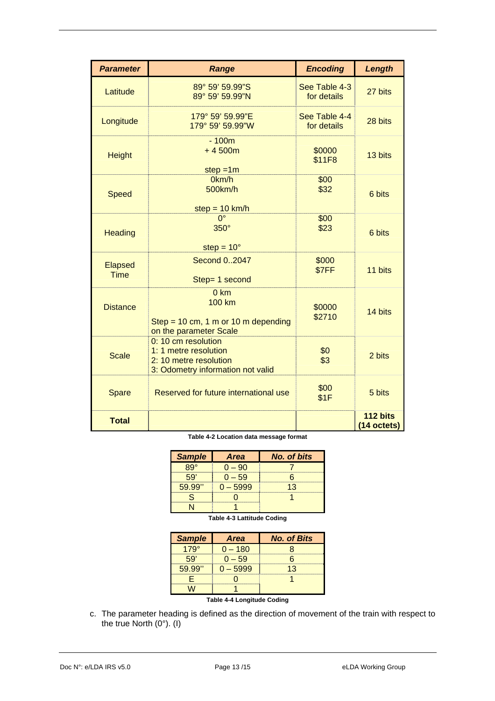| <b>Parameter</b>              | <b>Range</b>                                                                                                | <b>Encoding</b>              | Length                  |
|-------------------------------|-------------------------------------------------------------------------------------------------------------|------------------------------|-------------------------|
| Latitude                      | 89° 59' 59.99"S<br>89° 59' 59.99"N                                                                          | See Table 4-3<br>for details | 27 bits                 |
| Longitude                     | 179° 59' 59.99"E<br>179° 59' 59.99"W                                                                        | See Table 4-4<br>for details | 28 bits                 |
| <b>Height</b>                 | $-100m$<br>$+4500m$<br>$step = 1m$                                                                          | \$0000<br>\$11F8             | 13 bits                 |
| <b>Speed</b>                  | 0km/h<br>500km/h<br>step = $10 \text{ km/h}$                                                                | \$00<br>\$32                 | 6 bits                  |
| <b>Heading</b>                | $0^{\circ}$<br>$350^\circ$<br>step = $10^{\circ}$                                                           | \$00<br>\$23                 | 6 bits                  |
| <b>Elapsed</b><br><b>Time</b> | Second 02047<br>Step= 1 second                                                                              | \$000<br>\$7FF               | 11 bits                 |
| <b>Distance</b>               | 0 km<br><b>100 km</b><br>Step = 10 cm, 1 m or 10 m depending<br>on the parameter Scale                      | \$0000<br>\$2710             | 14 bits                 |
| <b>Scale</b>                  | 0: 10 cm resolution<br>1: 1 metre resolution<br>2: 10 metre resolution<br>3: Odometry information not valid | \$0<br>\$3                   | 2 bits                  |
| Spare                         | Reserved for future international use                                                                       | \$00<br>\$1F                 | 5 bits                  |
| <b>Total</b>                  |                                                                                                             |                              | 112 bits<br>(14 octets) |

**Table 4-2 Location data message format** 

| <b>Sample</b> | <b>Area</b> | <b>No. of bits</b> |
|---------------|-------------|--------------------|
|               |             |                    |
|               |             |                    |
|               |             |                    |
|               |             |                    |
|               |             |                    |

**Table 4-3 Lattitude Coding** 

| <b>Sample</b> | <b>Area</b> | <b>No. of Bits</b> |
|---------------|-------------|--------------------|
|               |             |                    |
|               |             |                    |
|               |             | - 2                |
|               |             |                    |
|               |             |                    |

**Table 4-4 Longitude Coding** 

<span id="page-12-1"></span><span id="page-12-0"></span>c. The parameter heading is defined as the direction of movement of the train with respect to the true North (0°). (I)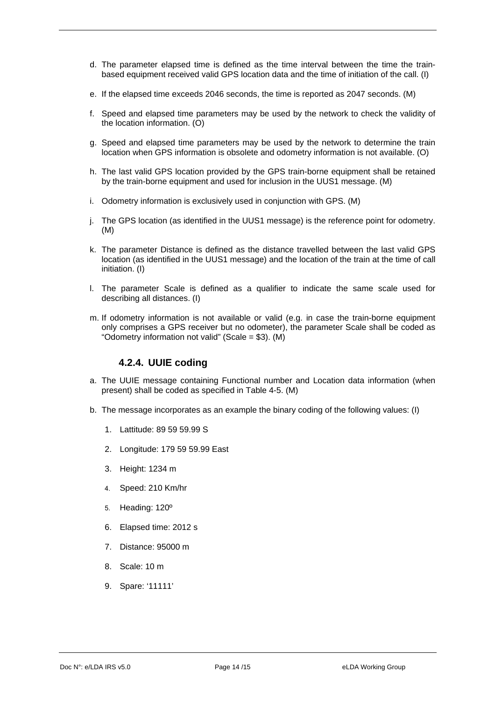- <span id="page-13-0"></span>d. The parameter elapsed time is defined as the time interval between the time the trainbased equipment received valid GPS location data and the time of initiation of the call. (I)
- e. If the elapsed time exceeds 2046 seconds, the time is reported as 2047 seconds. (M)
- f. Speed and elapsed time parameters may be used by the network to check the validity of the location information. (O)
- g. Speed and elapsed time parameters may be used by the network to determine the train location when GPS information is obsolete and odometry information is not available. (O)
- h. The last valid GPS location provided by the GPS train-borne equipment shall be retained by the train-borne equipment and used for inclusion in the UUS1 message. (M)
- i. Odometry information is exclusively used in conjunction with GPS. (M)
- j. The GPS location (as identified in the UUS1 message) is the reference point for odometry. (M)
- k. The parameter Distance is defined as the distance travelled between the last valid GPS location (as identified in the UUS1 message) and the location of the train at the time of call initiation. (I)
- l. The parameter Scale is defined as a qualifier to indicate the same scale used for describing all distances. (I)
- m. If odometry information is not available or valid (e.g. in case the train-borne equipment only comprises a GPS receiver but no odometer), the parameter Scale shall be coded as "Odometry information not valid" (Scale = \$3). (M)

#### **4.2.4. UUIE coding**

- a. The UUIE message containing Functional number and Location data information (when present) shall be coded as specified in [Table 4-5.](#page-14-0) (M)
- b. The message incorporates as an example the binary coding of the following values: (I)
	- 1. Lattitude: 89 59 59.99 S
	- 2. Longitude: 179 59 59.99 East
	- 3. Height: 1234 m
	- 4. Speed: 210 Km/hr
	- 5. Heading: 120º
	- 6. Elapsed time: 2012 s
	- 7. Distance: 95000 m
	- 8. Scale: 10 m
	- 9. Spare: '11111'